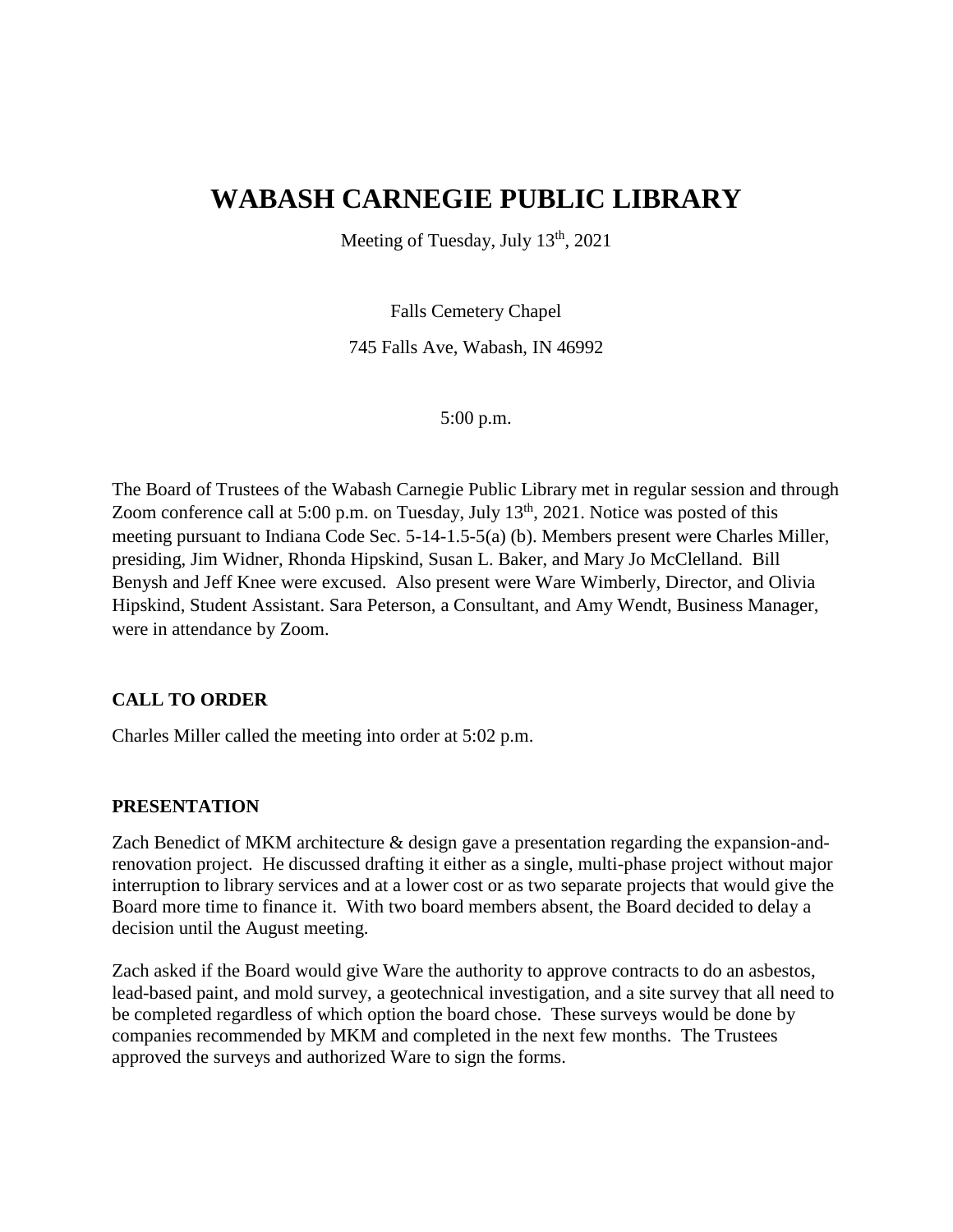# **WABASH CARNEGIE PUBLIC LIBRARY**

Meeting of Tuesday, July  $13<sup>th</sup>$ , 2021

Falls Cemetery Chapel

745 Falls Ave, Wabash, IN 46992

5:00 p.m.

The Board of Trustees of the Wabash Carnegie Public Library met in regular session and through Zoom conference call at 5:00 p.m. on Tuesday, July  $13<sup>th</sup>$ , 2021. Notice was posted of this meeting pursuant to Indiana Code Sec. 5-14-1.5-5(a) (b). Members present were Charles Miller, presiding, Jim Widner, Rhonda Hipskind, Susan L. Baker, and Mary Jo McClelland. Bill Benysh and Jeff Knee were excused. Also present were Ware Wimberly, Director, and Olivia Hipskind, Student Assistant. Sara Peterson, a Consultant, and Amy Wendt, Business Manager, were in attendance by Zoom.

## **CALL TO ORDER**

Charles Miller called the meeting into order at 5:02 p.m.

## **PRESENTATION**

Zach Benedict of MKM architecture & design gave a presentation regarding the expansion-andrenovation project. He discussed drafting it either as a single, multi-phase project without major interruption to library services and at a lower cost or as two separate projects that would give the Board more time to finance it. With two board members absent, the Board decided to delay a decision until the August meeting.

Zach asked if the Board would give Ware the authority to approve contracts to do an asbestos, lead-based paint, and mold survey, a geotechnical investigation, and a site survey that all need to be completed regardless of which option the board chose. These surveys would be done by companies recommended by MKM and completed in the next few months. The Trustees approved the surveys and authorized Ware to sign the forms.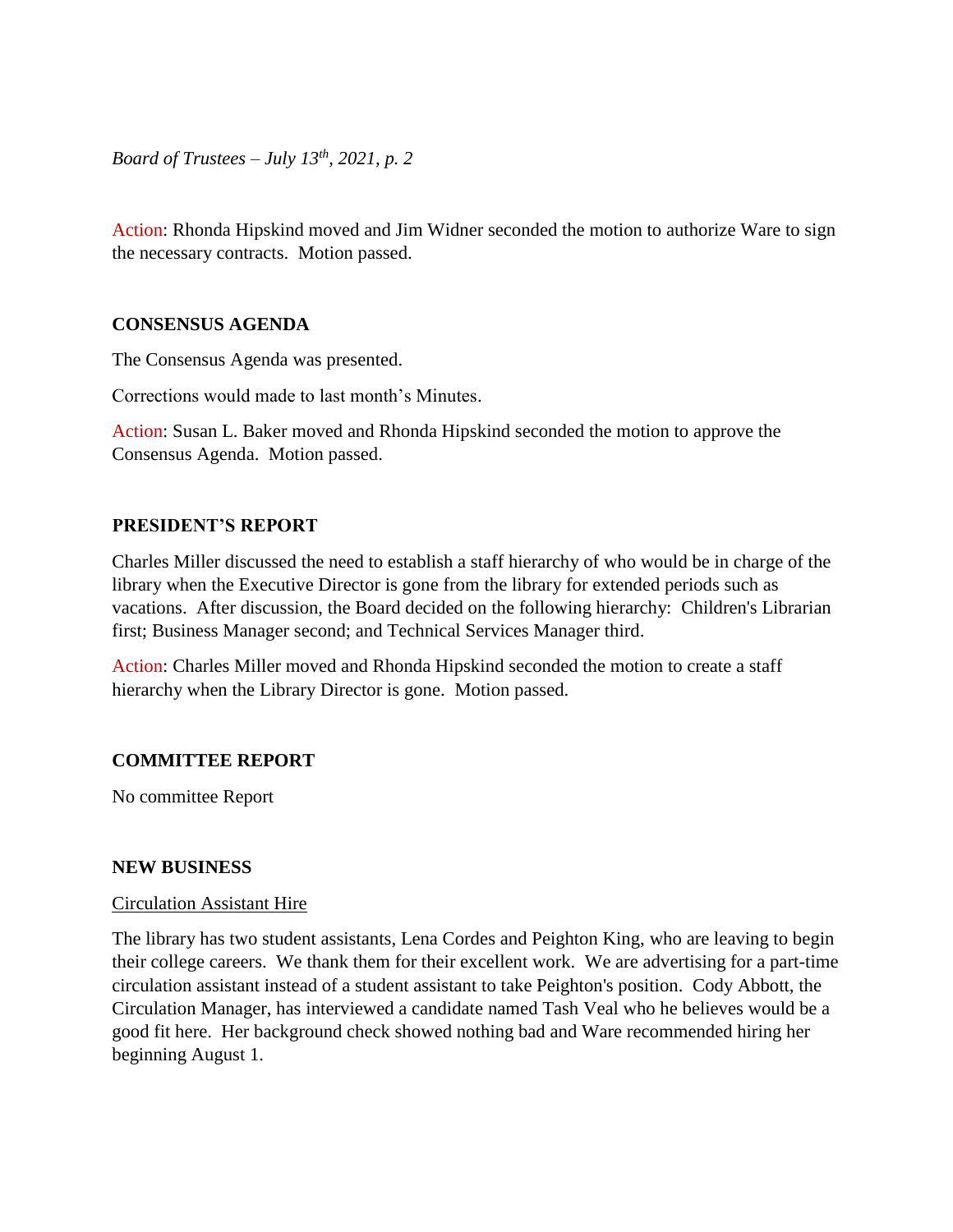*Board of Trustees – July 13th, 2021, p. 2*

Action: Rhonda Hipskind moved and Jim Widner seconded the motion to authorize Ware to sign the necessary contracts. Motion passed.

## **CONSENSUS AGENDA**

The Consensus Agenda was presented.

Corrections would made to last month's Minutes.

Action: Susan L. Baker moved and Rhonda Hipskind seconded the motion to approve the Consensus Agenda. Motion passed.

## **PRESIDENT'S REPORT**

Charles Miller discussed the need to establish a staff hierarchy of who would be in charge of the library when the Executive Director is gone from the library for extended periods such as vacations. After discussion, the Board decided on the following hierarchy: Children's Librarian first; Business Manager second; and Technical Services Manager third.

Action: Charles Miller moved and Rhonda Hipskind seconded the motion to create a staff hierarchy when the Library Director is gone. Motion passed.

## **COMMITTEE REPORT**

No committee Report

## **NEW BUSINESS**

## Circulation Assistant Hire

The library has two student assistants, Lena Cordes and Peighton King, who are leaving to begin their college careers. We thank them for their excellent work. We are advertising for a part-time circulation assistant instead of a student assistant to take Peighton's position. Cody Abbott, the Circulation Manager, has interviewed a candidate named Tash Veal who he believes would be a good fit here. Her background check showed nothing bad and Ware recommended hiring her beginning August 1.